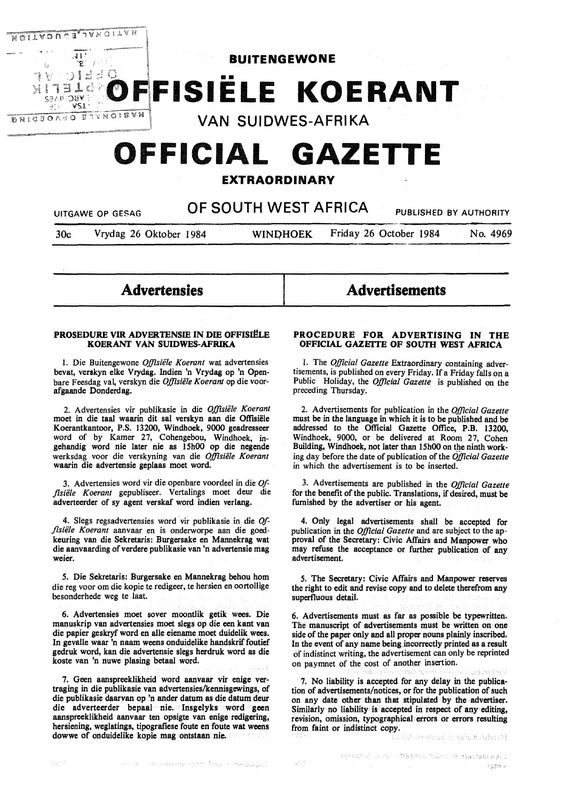

# **OFFICIAL GAZETTE**

# **EXTRAORDINARY**

UITGAWE OP GESAG **OF SOUTH WEST AFRICA** PUBLISHED BY AUTHORITY

30c Vrydag 26 Oktober 1984 **WINOHOEK** Friday 26 October 1984 No. 4969

**Advertensies** 

#### **PROSEDURE VIR ADVERTENSIE IN DIE OFFISIËLE KOERANT VAN SUIDWES-AFRIKA**

I. Die Buitengewone *Offisie1e Koerant* wat advertensies bevat, verakyn elke Vrydag. lndien 'n Vrydag op 'n Openbare Feesdag val, verskyn die *Offisiële Koerant* op die voorafgaande Donderdag.

2. Advertensies vir publikasie in die *Offisiele Koerant*  moet in die taal waarin dit sal verskyn aan die Offisiele Koerantkantoor, P.S. 13200, Windhoek, 9000 geadresseer word of by Kamer 27, Cohengebou, Windhoek, ingehandig word nie later nie as I 5h00 op die negende werksdag voor die verskyning van die *Offisiele Koerant*  waarin die advertensie geplaas moet word.

3. Advertensies word vir die openbare voordeel in die *Offisiele Koerant* gepubliseer. Vertalin\_gs moet deur die adverteerder of sy agent verskaf word indien verlang.

4. Slegs regsadvertensies word vir publikasie in die *Offisiele Koerant* aanvaar en is onderworpe aan die goedkeuring van die Sekretaris: Burgersake en Mannekrag wat die aanvaarding of verdere publikasie van 'n advertensie mag weier.

*S.* Die Sekretaris: Burgersake en Mannekrag behou hom die reg voor om die kopie te redigeer, te hersien en oortollige besonderhede weg te laat.

6. Advertensies moet sover moontlik getik wees. Die manuskrip van advertensies moet slegs op die een kant van die papier geskryf word en alle eiename moet duidelik wees. In gevalle waar 'n naam weens onduidelike handskrif foutief gedruk word, kan die advertensie slegs herdruk word as die koste van 'n nuwe plasing betaal word.

7. Geen aanspreeklikheid word aanvaar vir enige vertraging in die publikasie van advertensies/kennisgewings, of die publikasie daarvan op 'n ander datum as die datum deur die adverteerder bepaal nie. Insgelyks word geen aanspreeklikheid aanvaar ten opsigte van **enige** redigering, hersiening, weglatings, tipografiese foute en foute wat weens dowwe of onduidelike kopie mag ontstaan nie.

#### **PROCEDURE FOR ADVERTISING IN THE OFFICIAL GAZEITE OF SOUTH WEST AFRICA**

**Advertisements** 

I. The *Official Gazette* Extraordinary containing advertisements, is published on every Friday. If a Friday falls on a Public Holiday, the *Official Gazette* is published on the preceding Thursday.

2. Advertisements for publication in the *Official Gazette*  must be in the language in which it is to be published and be addressed to the Official Gazette Office, P.B. 13200, Windhoek, 9000, or be delivered at Room 27, Cohen Building, Windhoek, not later than 15h00 on the ninth working day before the date of publication of the *Official Gazette*  in which the advertisement is to be inserted.

3. Advertisements are published in the *Official Gazette*  for the benefit of the public. Translations, if desired, must be furnished by the advertiser or his agent.

4. Only legal advertisements shall be accepted for publication in the *Official Gazette* and are subject to the approval of the Secretary: Civic Affairs and Manpower who may refuse the acceptance or further publication of any advertisement.

*5.* The Secretary: Civic Affairs and Manpower reserves the right to edit and revise copy and to delete therefrom any superfluous detail.

6. Advertisements must as far as possible be typewritten. The manuscript of advertisements must be written on one side of the paper only and all proper nouns plainly inscribed. In the event of any name being incorrectly printed as a result of indistinct writing, the advertisement can only be reprinted on paymnet of the cost of another insertion.

7. No liability is accepted for any delay in the publication of advertisements/notices, or for the publication of such on any date other than that stipulated by the advertiser. Similarly no liability is accepted in respect of any editing, revision, omission, typographical. errors or errors resulting from faint or indistinct copy.

Handyi-Aufut ni suits at Afrik

 $\sim 10^{10}$  eV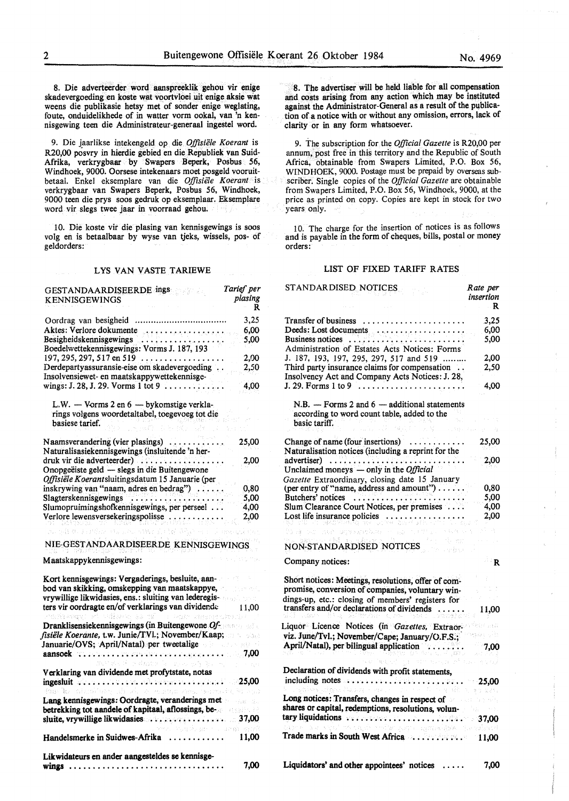8. Die adverteerder word aanspreeklik gehou vir enige skadevergoeding en koste wat voortvloei uit enige aksie wat weens die publikasie hetsy met of sonder enige weglating, foute, onduidelikhede of in watter vorm ookal, van 'n kennisgewing teen die Administrateur-generaal ingestel word.

9. Die jaarlikse intekengeld op die *Offisiiile Koerant* is R20,00 posvry in hierdie gebied en die Republiek van Suid-Afrika, verkrygbaar by Swapers Beperk, Posbus 56, Windhoek, 9000. Oorsese intekenaars moet posgeld vooruitbetaal. Enkel eksemplare van die Offisiele Koerant is verkrygbaar van Swapers Beperk, Posbus 56, Windhoek, 9000 teen die prys soos gedruk op eksemplaar. Eksemplare word vir slegs twee jaar in voorraad gehou.

10. Die koste vir die plasing van kennisgewings is soos volg en is betaalbaar by wyse van tjeks, wissels, pos- of geldorders:

#### LYS VAN VASTE TARIEWE

| GESTANDAARDISEERDE ings<br><b>KENNISGEWINGS</b>                  | Tarief per<br>plasing<br>R |  |
|------------------------------------------------------------------|----------------------------|--|
|                                                                  | 3,25                       |  |
| Aktes: Verlore dokumente<br>بالعرموج مرموحا مرمرمرموه ماماج جنجي | 6.00                       |  |
| Besigheidskennisgewings                                          | 5,00                       |  |
| Boedelwettekennisgewings: Vorms J. 187, 193                      |                            |  |
| 197, 295, 297, 517 en 519                                        | 2,00                       |  |
| Derdepartyassuransie-eise om skadevergoeding                     | 2,50                       |  |
| Insolvensiewet- en maatskappywettekennisge-                      |                            |  |
| wings: J. 28, J. 29. Vorms 1 tot 9 $\dots \dots \dots$           | 4,00                       |  |

L.W.  $-$  Vorms 2 en  $6 -$  by komstige verklarings volgens woordetaltabel, toegevoeg tot die basiese tarief.

| Naamsverandering (vier plasings)                 | 25,00 |
|--------------------------------------------------|-------|
| Naturalisasiekennisgewings (insluitende 'n her-  |       |
| druk vir die adverteerder)<br>.                  | 2.00  |
| Onopgeëiste geld — slegs in die Buitengewone     |       |
| Offisiële Koerantsluitingsdatum 15 Januarie (per |       |
| inskrywing van "naam, adres en bedrag")          | 0.80  |
| Slagterskennisgewings                            | 5.00  |
| Slumopruimingshofkennisgewings, per perseel      | 4,00  |
| Verlore lewensversekeringspolisse                | 2,00  |

#### NIEcGEST ANDAARDISEERDE KENNISGEWINGS

THE PASSAGE PRODUCTS

#### Maatskappykennisgewings:

viráci ardas de sucederal

| Kort kennisgewings: Vergaderings, besluite, aan-<br>bod van skikking, omskepping van maatskappye,<br>vrywillige likwidasies, ens.: sluiting van lederegis-<br>ters vir oordragte en/of verklarings van dividende $11.00$<br>which event $s^2$ will see as $\pi t^2$ . Which employees to but |
|----------------------------------------------------------------------------------------------------------------------------------------------------------------------------------------------------------------------------------------------------------------------------------------------|
| Dranklisensiekennisgewings (in Buitengewone Of and alle<br>fisiële Koerante, t.w. Junie/TVI.; November/Kaap;<br>Januarie/OVS; April/Natal) per tweetalige<br>aansoek variation restauration constitution of the 7,00<br>放射式分析 计单格程序 化二氯化乙酸盐 医二氧化二十二氢氢                                        |
| Verklaring van dividende met profytstate, notas<br>ingesluit with a state of the relative contract (1425,00)<br>this is clubler, it is a anton new series in several                                                                                                                         |
| Lang kennisgewings: Oordragte, veranderings met<br>betrekking tot aandele of kapitaal, aflossings, be-<br>sluite, vrywillige likwidasies 37,00<br>o solo per al segundo per al consegundo en la consegundo de la consegundo de la consegundo de la consegundo de                             |
| Handelsmerke in Suidwes-Afrika  11,00                                                                                                                                                                                                                                                        |
| Likwidateurs en ander aangesteldes se kennisge-<br>7.00<br>wings                                                                                                                                                                                                                             |

8. The advertiser will be held liable for all compensation and costs **arising** from any action which may be instituted against the Administrator-General as a result of the publication of a notice with or without any omission, errors, lack of clarity or in any form whatsoever.

9. The subscription for the *Official Gazette* is R20,00 per annum, post free in this territory and the Republic of South Africa, obtainable from Swapers Limited, P.O. Box 56, WINDHOEK, 9000. Postage must be prepaid by overseas subscriber. Single copies of the *Official Gazette* are obtainable from Swapers Limited, P.O. Box 56, Windhoek, 9000, at the price as printed on copy. Copies are kept in stock for two years only.

1 O. The charge for the insertion of notices is as follows and is payable in the form of cheques, bills, postal or money orders:

# LIST OF FIXED TARIFF RATES

| STANDAR DISED NOTICES                                                                                                                                                    | Rate per<br>insertion<br>- R |
|--------------------------------------------------------------------------------------------------------------------------------------------------------------------------|------------------------------|
| Transfer of business                                                                                                                                                     | 3,25                         |
| Deeds: Lost documents                                                                                                                                                    | 6,00                         |
| Business notices<br>Administration of Estates Acts Notices: Forms                                                                                                        | 5,00                         |
| J. 187, 193, 197, 295, 297, 517 and 519                                                                                                                                  | 2,00                         |
| Third party insurance claims for compensation<br>Insolvency Act and Company Acts Notices: J. 28,                                                                         | 2,50                         |
|                                                                                                                                                                          | 4.00                         |
| $N.B.$ - Forms 2 and 6 - additional statements<br>according to word count table, added to the                                                                            |                              |
| basic tariff.                                                                                                                                                            |                              |
|                                                                                                                                                                          |                              |
| Change of name (four insertions)<br>. <i>.</i> .<br>Naturalisation notices (including a reprint for the                                                                  | 25,00                        |
| $advertiser) \ldots \ldots \ldots \ldots \ldots \ldots$<br>Unclaimed moneys $-$ only in the <i>Official</i>                                                              | 2.00                         |
| Gazette Extraordinary, closing date 15 January                                                                                                                           |                              |
| (per entry of "name, address and amount")                                                                                                                                | 0,80                         |
| Butchers' notices                                                                                                                                                        | 5,00                         |
| Slum Clearance Court Notices, per premises                                                                                                                               | 4.00                         |
| Lost life insurance policies                                                                                                                                             | 2.00                         |
| อยู่ตรงตรรับสภา                                                                                                                                                          | i a                          |
| NON-STANDARDISED NOTICES                                                                                                                                                 |                              |
| Company notices:                                                                                                                                                         | ∂R.                          |
| Short notices: Meetings, resolutions, offer of com-                                                                                                                      |                              |
| promise, conversion of companies, voluntary win-                                                                                                                         |                              |
| dings-up, etc.: closing of members' registers for                                                                                                                        |                              |
| transfers and/or declarations of dividends                                                                                                                               | 11,00                        |
| Liquor Licence Notices (in Gazettes, Extraor-                                                                                                                            |                              |
| viz. June/Tvl.; November/Cape; January/O.F.S.;                                                                                                                           | r séb                        |
| April/Natal), per bilingual application                                                                                                                                  | 7,00                         |
| $\left\{ \begin{array}{cc} \mathcal{D}_{\mathbf{q}}^{\mathbf{q}} & \mathcal{D}_{\mathbf{q}}^{\mathbf{q}} & \mathcal{D}_{\mathbf{q}}^{\mathbf{q}} \end{array} \right\}$   |                              |
| Declaration of dividends with profit statements,<br>including notes and contribution of the second                                                                       | 25,00                        |
| 医双裂肿 化柠檬酸钠 梁关 如果 计比例组合<br>Long notices: Transfers, changes in respect of                                                                                                 | MID SER.                     |
| shares or capital, redemptions, resolutions, volun-<br>tary liquidations were recovered as a contract of the contract of the contract of the contract of the contract of | 37,00                        |
| นี้มีคนกับตน เจอร์เก็บหารสุดส์การคริษย์ แต่ราก อยู่สองรัฐชน "คู่เล่งเมื่อรถส่                                                                                            |                              |
|                                                                                                                                                                          |                              |
| Liquidators' and other appointees' notices                                                                                                                               | 7,00                         |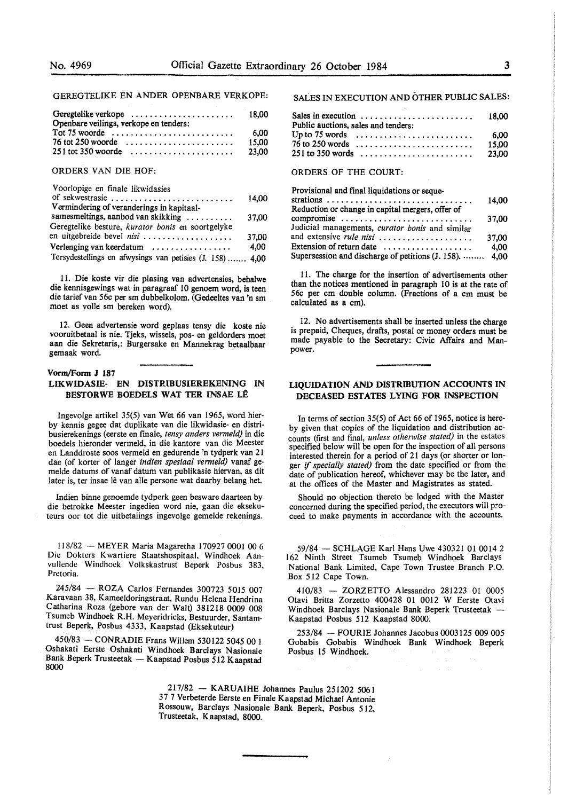#### GEREGTELIKE EN ANDER OPENBARE VERKOPE:

| Geregtelike verkope<br>Openbare veilings, verkope en tenders: | 18.00 |
|---------------------------------------------------------------|-------|
| $Tot 75$ woorde                                               | 6.00  |
|                                                               | 15,00 |
|                                                               | 23,00 |
|                                                               |       |

#### ORDERS VAN DIE HOF:

| of sekwestrasie<br>Vermindering of veranderings in kapitaal- |       |
|--------------------------------------------------------------|-------|
|                                                              | 14.00 |
|                                                              |       |
| samesmeltings, aanbod van skikking                           | 37.00 |
| Geregtelike besture, <i>kurator bonis</i> en soortgelyke     |       |
| en uitgebreide bevel nisi                                    | 37.00 |
| Verlenging van keerdatum                                     | 4.00  |
| Tersydestellings en afwysings van petisies (J. 158)  4,00    |       |

11. Die koste vir die plasing van advertensies, behalwe die kennisgewings wat in paragraaf 10 genoem word, is teen die tarief van 56c per sm dubbelkolom. (Gedeeltes van 'n sm moet as voile sm bereken word).

12. Geen advertensie word geplaas tensy die koste nie vooruitbetaal is nie. Tjeks, wissels, pos- en geldorders moet aan die Sekretaris,: Burgersake en Mannekrag betaalbaar gemaak word.

# **Vorm/Form J 187 LIKWIDASIE- EN DISTRIBUSIEREKENING IN BESTORWE BOEDELS WAT TER INSAE LE**

Ingevolge artikel 35(5) van Wet 66 van 1965, word hierby kennis gegee dat duplikate van die likwidasie- en distribusierekenings (eerste en finale, *tensy anders vermeld)* in die boedels hieronder vermeld, in die kantore van die Meester en Landdroste soos vermeld en gedurende 'n tydperk van 21 dae (of korter of !anger *indien spesiaal vermeld)* vanaf gemelde datums of vanaf datum van publikasie hiervan, as dit later is, ter insae lê van alle persone wat daarby belang het.

Indien binne genoemde tydperk geen besware daarteen by die betrokke Meester ingedien word nie, gaan die eksekuteurs oor tot die uitbetalings ingevolge gemelde rekenings.

I I 8/82 - MEYER Maria Magaretha 170927 0001 00 6 Die Dokters K wartiere Staatshospitaal, Windhoek Aanvullende Windhoek Volkskastrust Beperk Posbus 383, Pretoria.

245/84 - ROZA Carlos Fernandes 300723 5015 007 Karavaan 38, Kameeldoringstraat, Rundu Helena Hendrina Catharina Roza (gebore van der Walt) 381218 0009 008 Tsumeb Windhoek R.H. Meyeridricks, Bestuurder, Santamtrust Beperk, Posbus 4333, Kaapstad (Eksekuteur)

450/83 - CONRADIE Frans Willem 530122 5045 00 l Oshakati Eerste Oshakati Windhoek Barclays Nasionale Bank Beperk Trusteetak - Kaapstad Posbus 512 Kaapstad 8000

SALES IN EXECUTION AND OTHER PUBLIC SALES:

| Sales in execution<br>Public auctions, sales and tenders:            | 18.00 |
|----------------------------------------------------------------------|-------|
| Up to 75 words $\dots \dots \dots \dots \dots \dots \dots \dots$     | 6.00  |
| $76$ to 250 words $\ldots \ldots \ldots \ldots \ldots \ldots \ldots$ | 15.00 |
|                                                                      |       |

## ORDERS OF THE COURT:

| Provisional and final liquidations or seque-                   |       |
|----------------------------------------------------------------|-------|
|                                                                | 14.00 |
| Reduction or change in capital mergers, offer of               |       |
| compromise                                                     | 37.00 |
| Judicial managements, curator bonis and similar                |       |
| and extensive rule nisi                                        | 37,00 |
| Extension of return date $\dots\dots\dots\dots\dots\dots\dots$ | 4.00  |
| Supersession and discharge of petitions (J. 158).  4,00        |       |

11. The charge for the insertion of advertisements other than the notices mentioned in paragraph 10 is at the rate of 56c per cm double column. (Fractions of a cm must be calculated as a cm).

12. No advertisements shall be inserted unless the charge is prepaid, Cheques, drafts, postal or money orders must be made payable to the Secretary: Civic Affairs and Manpower.

#### **LIQUIDATION AND DISTRIBUTION ACCOUNTS IN DECEASED ESTATES LYING FOR INSPECTION**

In terms of section 35(5) of Act 66 of 1965, notice is hereby given that copies of the liquidation and distribution accounts (first and final, *unless otherwise stated)* in the estates specified below will be open for the inspection of all persons interested therein for a period of 21 days (or shorter or longer if *specially stated)* from the date specified or from the date of publication hereof, whichever may be the later, and at the offices of the Master and Magistrates as stated.

Should no objection thereto be lodged with the Master concerned during the specified period, the executors will proceed to make payments in accordance with the accounts.

59/84 - SCHLAGE Karl Hans Uwe 430321 01 0014 2 162 Ninth Street Tsumeb Tsumeb Windhoek Barclays National Bank Limited, Cape Town Trustee Branch P.O. Box 512 Cape Town.

410/83 - ZORZETTO Alessandro 281223 01 0005 Otavi Britta Zorzetto 400428 01 0012 W Eerste Otavi Windhoek Barclays Nasionale Bank Beperk Trusteetak -Kaapstad Posbus 512 Kaapstad 8000.

253/84 - FOURIE Johannes Jacobus 0003125 009 005 Gobabis Gobabis Windhoek Bank Windhoek Beperk Posbus 15 Windhoek.

217/82 - **KARUAIHE** Johannes Paulus 251202 5061 37 7 Verbeterde Eerste en Finale Kaapstad Michael Antonie Rossouw, Barclays Nasionale Bank Beperk, Posbus 512, Trusteetak, Kaapstad, 8000.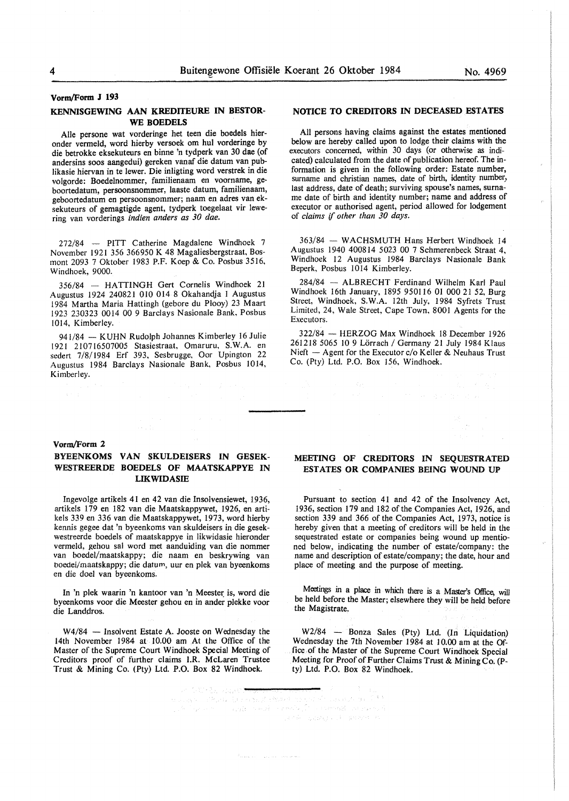#### **KENNISGEWING AAN KREDITEURE IN BESTOR-WE BOEDELS**

Aile persone wat vorderinge het teen die boedels hieronder vermeld, word hierby versoek om hul vorderinge by die betrokke eksekuteurs en binne 'n tydperk van 30 dae (of andersins soos aangedui) gereken vanaf die datum van publikasie hiervan in te lewer. Die inligting word verstrek in die volgorde: Boedelnommer, familienaam en voorname, geboortedatum, persoonsnommer, laaste datum, familienaam, geboortedatum en persoonsnommer; naam en adres van eksekuteurs of gemagtigde agent, tydperk toegelaat vir lewering van vorderings *indien anders as 30 dae.* 

272/84 - PITT Catherine Magdalene Windhoek 7 November 1921 356 366950 K 48 Magaliesbergstraat, Bosmont 2093 7 Oktober 1983 P.F. Koep & Co. Posbus 3516, Windhoek, 9000.

356/84 - HATTINGH Gert Cornelis Windhoek 21 Augustus 1924 240821 010 014 8 Okahandja 1 Augustus 1984 Martha Maria Hattingh (gebore du Plooy) 23 Maart 1923 230323 0014 00 9 Barclays Nasionale Bank, Posbus 1014, Kimberley.

941/84 - KUHN Rudolph Johannes Kimberley 16 Julie 1921 210716507005 Stasiestraat, Omaruru, S.W.A. en sedert 7/8/1984 Erf 393, Sesbrugge, Oor Upington 22 Augustus 1984 Barclays Nasionale Bank, Posbus 1014, Kimberley.

#### **NOTICE TO CREDITORS IN DECEASED ESTATES**

All persons having claims against the estates mentioned below are hereby called upon to lodge their claims with the executors concerned, within 30 days (or otherwise as indicated) calculated from the date of publication hereof. The information is given in the following order: Estate number, surname and christian names, date of birth, identity number, last address, date of death; surviving spouse's names, surname date of birth and identity number; name and address of executor or authorised agent, period allowed for lodgement of *claims* if *other than 30 days.* 

363/84 - WACHSMUTH Hans Herbert Windhoek 14 Augustus 1940 400814 5023 00 7 Schmerenbeck Straat 4, Windhoek 12 Augustus 1984 Barclays Nasionale Bank Beperk, Posbus 1014 Kimberley.

284/84 - ALBRECHT Ferdinand Wilhelm Karl Paul Windhoek 16th January, 1895 950116 01 000 21 52, Burg Street, Windhoek, S. W.A. 12th July, 1984 Syfrets Trust Limited, 24, Wale Street, Cape Town, 8001 Agents for the Executors.

322/84 - HERZOG Max Windhoek 18 December 1926 261218 5065 10 9 Lörrach / Germany 21 July 1984 Klaus Nieft  $-$  Agent for the Executor c/o Keller & Neuhaus Trust Co. (Pty) Ltd. P.O. Box 156, Windhoek.

#### **Vorm/Form 2**

#### **BYEENKOMS VAN SKULDEISERS IN GESEK-WESTREERDE BOEDELS OF MAATSKAPPYE IN LIKWIDASIE**

Ingevolge artikels 41 en 42 van die Insolvensiewet, 1936, artikels 179 en 182 van die Maatskappywet, 1926, en artikels 339 en 336 van die Maatskappywet, 1973, word hierby kennis gegee dat 'n byeenkoms van skuldeisers in die gesekwestreerde boedels of maatskappye in likwidasie hieronder vermeld, gehou sal word met aanduiding van die nommer van boedel/maatskappy; die naam en beskrywing van boedei/maatskappy; die datum, uur en plek van byeenkoms en die doe! van byeenkoms.

In 'n plek waarin 'n kantoor van 'n Meester is, word die byeenkoms voor die Meester gehou en in ander plekke voor die Landdros.

W4/84 - Insolvent Estate A. Jooste on Wednesday the 14th November 1984 at 10.00 am At the Office of the Master of the Supreme Court Windhoek Special Meeting of Creditors proof of further claims l.R. McLaren Trustee Trust & Mining Co. (Pty) Ltd. P.O. Box 82 Windhoek.

# **MEETING OF CREDITORS IN SEQUESTRATED ESTATES OR COMPANIES BEING WOUND UP**

Pursuant to section 41 and 42 of the Insolvency Act, 1936, section 179 and 182 of the Companies Act, 1926, and section 339 and 366 of the Companies Act, 1973, notice is hereby given that a meeting of creditors will be held in the sequestrated estate or companies being wound up mentioned below, indicating the number of estate/company: the name and description of estate/company; the date, hour and place of meeting and the purpose of meeting.

Meetings in a place in which there is a Master's Office, will be held before the Master; elsewhere they will be held before the Magistrate.

 $W2/84$  - Bonza Sales (Pty) Ltd. (In Liquidation) Wednesday the 7th November 1984 at 10.00 am at the Office of the Master of the Supreme Court Windhoek Special Meeting for Proof of Further Claims Trust & Mining Co. (Pty) Ltd. P.O. Box 82 Windhoek.

on Gallega, opport<del>e</del> perdicionalized all'assistante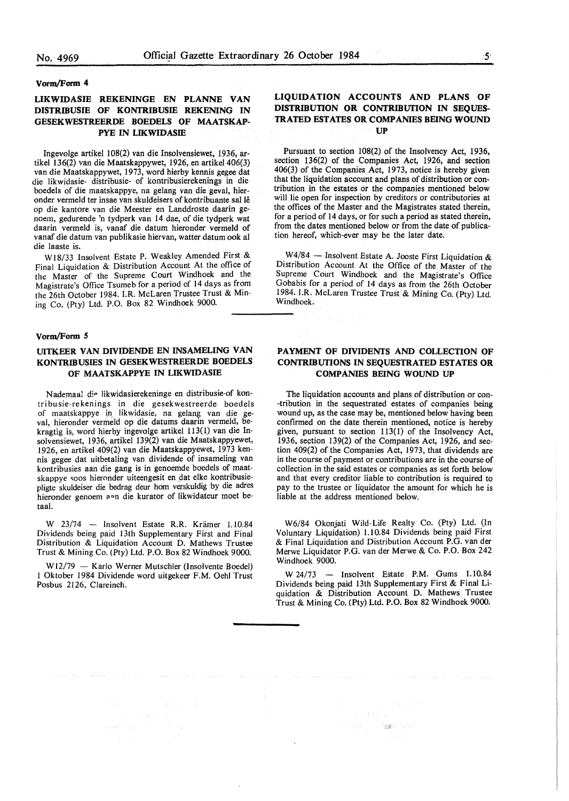#### **Vorm/Form 4**

# **LIKWIDASIE REKENINGE EN PLANNE VAN DISTRfflUSIE OF KONTRIBUSIE REKENING IN GESEKWESTREERDE BOEDELS OF MAATSKAP-PYE IN LIKWIDASIE**

Ingevolge artikel 108(2) van die Insolvensiewet, 1936, artikel 136(2) van die Maatskappywet, 1926, en artikel 406(3) van die Maatskappywet, 1973, word hierby kennis gegee dat die likwidasie- distribusie- of kontribusierekening\_s in die boedels of die maatskappye, na gelang van die geval, hieronder vermeld ter insae van skuldeisers of kontribuante sal le op die kantore van die Meester en Landdroste daarin genoem, gedurende 'n tydperk van 14 dae, of die tydperk wat daarin vermeld is, vanaf die datum hieronder vermeld of vanaf die datum van publikasie hiervan, watter datum ook al die laaste is.

Wl8/33 Insolvent Estate P. Weakley Amended First & Final Liquidation & Distribution Account At the office of the Master of the Supreme Court Windhoek and the Magistrate's Office Tsumeb for a period of 14 days as from the 26th October 1984. I.R. McLaren Trustee Trust & Mining Co. (Pty) Ltd. P.O. Box 82 Windhoek 9000.

#### **Vorm/Fonn S**

# **UITKEER VAN DIVIDENDE EN INSAMELING VAN KONTRIBUSIES IN GESEKWESTREERDE BOEDELS OF MAATSKAPPYE IN LIKWIDASIE**

Nademaal die likwidasierekeninge en distribusie-of kontribusie-rekenings in die gesekwestreerde boedels of maatskappye in likwidasie, na gelang van die geval, hieronder vermeld op die datums daarin vermeld, bekragtig is, word hierby ingevolge artikel 113( 1) van die lnsolvensiewet, 1936, artikel 139(2) van die Maatskappyewet, 1926, en artikel 409(2) van die Maatskappyewet, 1973 kennis gegee dat uitbetaling van dividende of insameling van kontribusies aan die gang is in genoemde boedels of maatskappye soos hieronder uiteengesit en dat elke kontribusiepligte skuldeiser die bedrag deur horn verskuldig by die adres hieronder genoem and die kurator of likwidateur moet betaal.

W 23/74 - Insolvent Estate R.R. Krämer 1.10.84 Dividends being paid 13th Supplementary First and Final Distribution & Liquidation Account D. Mathews Trustee Trust & Mining Co. (Pty) Ltd. P.O. Box 82 Windhoek 9000.

W12/79 - Karlo Werner Mutschler (Insolvente Boedel) I Oktober 1984 Dividende word uitgekeer F.M. Oehl Trust Posbus 2126, Clareinch.

# **LIQUIDATION ACCOUNTS AND PLANS OF DISTRIBUTION OR CONTRIBUTION IN SEQUES-TRATED ESTATES OR COMPANIES BEING WOUND UP**

Pursuant to section 108(2) of the Insolvency Act, 1936, section 136(2) of the Companies Act, 1926, and section 406(3) of the Companies Act, 1973, notice is hereby given that the liquidation account and plans of distribution or contribution in the estates or the companies mentioned below will lie open for inspection by creditors or contributories at the offices of the Master and the Magistrates stated therein, for a period of 14 days, or for such a period as stated therein, from the dates mentioned below or from the date of publication hereof, which-ever may be the later date.

W4/84 - Insolvent Estate A. Jooste First Liquidation  $\&$ Distribution Account At the Office of the Master of the Supreme Court Windhoek and the Magistrate's Office Gobabis for a period of 14 days as from the 26th October 1984. I.R. McLaren Trustee Trust & Mining Co. (Pty) Ltd Windhoek.

# **PAYMENT OF DIVIDENTS AND COLLECTION OF CONTRIBUTIONS IN SEQUESTRATED ESTATES OR COMPANIES BEING WOUND UP**

The liquidation accounts and plans of distribution or con- -tribution in the sequestrated estates of companies being wound up, as the case may be, mentioned below having been confirmed on the date therein mentioned, notice is hereby given, pursuant to section 113(1) of the Insolvency Act, 1936, section 139(2) of the Companies Act, 1926, and section 409(2) of the Companies Act, 1973, that dividends are in the course of payment or contributions are in the course of collection in the said estates or companies as set forth below and that every creditor liable to contribution is required to pay to the trustee or liquidator the amount for which he is liable at the address mentioned below.

W6/84 Okonjati Wild-Life Realty Co. (Pty) Ltd. (In Voluntary Liquidation) I.I 0.84 Dividends being paid First & Final Liquidation and Distribution Account P.G. van der Merwe Liquidator P.G. van der Merwe & Co. P.O. Box 242 Windhoek<sup>9000</sup>.

W 24/73 - Insolvent Estate P.M. Gums 1.10.84 Dividends being paid 13th Supplementary First & Final Liquidation & Distribution Account D. Mathews Trustee Trust & Mining Co. (Pty) Ltd. P.O. Box 82 Windhoek 9000.

 $\label{eq:3.1} \left\langle \psi^{\prime} \rangle \psi_{1} \left( \psi^{\prime} \right) \right\rangle = \left\langle \psi^{\dagger} \widetilde{\mathbf{M}} \mathbf{H} \psi^{\prime} \psi \right\rangle \psi^{\prime} \widetilde{\psi} \,.$ 

 $\partial_t \partial_t \partial_t \nabla \cdot \partial_t \mathcal{L}_t = \mathcal{L}^{(t)} \cap \mathcal{L}^{(t)}(G_t)^2$